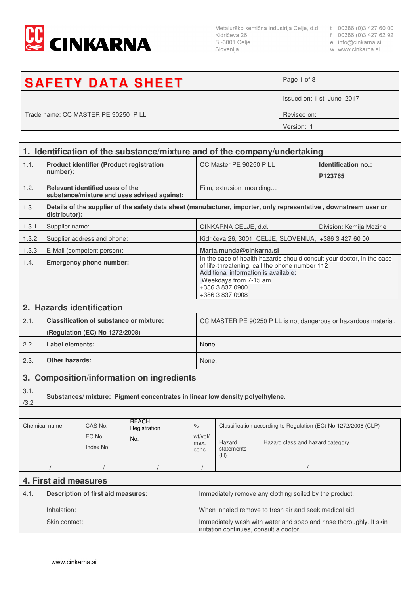

Metalurško kemična industrija Celje, d.d. t 00386 (0)3 427 60 00<br>Kidričeva 26 f 00386 (0)3 427 62 92<br>SI-3001 Celje e info@cinkarna.si<br>Slovenija w www.cinkarna.si Slovenija

- 
- 
- w www.cinkarna.si

| <b>SAFETY DATA SHEET</b>            | Page 1 of 8               |
|-------------------------------------|---------------------------|
|                                     | Issued on: 1 st June 2017 |
| Trade name: CC MASTER PE 90250 P LL | Revised on:               |
|                                     | Version: 1                |

|                            | 1. Identification of the substance/mixture and of the company/undertaking |                                                                                  |                                                                              |                                                                                                                                                                                                                                |                                                                 |                                                       |                                                                                                                   |
|----------------------------|---------------------------------------------------------------------------|----------------------------------------------------------------------------------|------------------------------------------------------------------------------|--------------------------------------------------------------------------------------------------------------------------------------------------------------------------------------------------------------------------------|-----------------------------------------------------------------|-------------------------------------------------------|-------------------------------------------------------------------------------------------------------------------|
| 1.1.                       | <b>Product identifier (Product registration</b><br>number):               |                                                                                  |                                                                              | CC Master PE 90250 P LL                                                                                                                                                                                                        |                                                                 | Identification no.:<br>P123765                        |                                                                                                                   |
| 1.2.                       |                                                                           | Relevant identified uses of the                                                  | substance/mixture and uses advised against:                                  |                                                                                                                                                                                                                                | Film, extrusion, moulding                                       |                                                       |                                                                                                                   |
| 1.3.                       | distributor):                                                             |                                                                                  |                                                                              |                                                                                                                                                                                                                                |                                                                 |                                                       | Details of the supplier of the safety data sheet (manufacturer, importer, only representative, downstream user or |
| 1.3.1.                     | Supplier name:                                                            |                                                                                  |                                                                              |                                                                                                                                                                                                                                | CINKARNA CELJE, d.d.<br>Division: Kemija Mozirje                |                                                       |                                                                                                                   |
| 1.3.2.                     |                                                                           | Supplier address and phone:                                                      |                                                                              |                                                                                                                                                                                                                                |                                                                 | Kidričeva 26, 3001 CELJE, SLOVENIJA, +386 3 427 60 00 |                                                                                                                   |
| 1.3.3.                     |                                                                           | E-Mail (competent person):                                                       |                                                                              |                                                                                                                                                                                                                                | Marta.munda@cinkarna.si                                         |                                                       |                                                                                                                   |
| 1.4.                       | <b>Emergency phone number:</b>                                            |                                                                                  |                                                                              | In the case of health hazards should consult your doctor, in the case<br>of life-threatening, call the phone number 112<br>Additional information is available:<br>Weekdays from 7-15 am<br>+386 3 837 0900<br>+386 3 837 0908 |                                                                 |                                                       |                                                                                                                   |
|                            |                                                                           | 2. Hazards identification                                                        |                                                                              |                                                                                                                                                                                                                                |                                                                 |                                                       |                                                                                                                   |
| 2.1.                       |                                                                           | <b>Classification of substance or mixture:</b><br>(Regulation (EC) No 1272/2008) |                                                                              |                                                                                                                                                                                                                                | CC MASTER PE 90250 P LL is not dangerous or hazardous material. |                                                       |                                                                                                                   |
| 2.2.                       | Label elements:                                                           |                                                                                  |                                                                              |                                                                                                                                                                                                                                | None                                                            |                                                       |                                                                                                                   |
| 2.3.                       | <b>Other hazards:</b>                                                     |                                                                                  |                                                                              | None.                                                                                                                                                                                                                          |                                                                 |                                                       |                                                                                                                   |
| 3.                         | <b>Composition/information on ingredients</b>                             |                                                                                  |                                                                              |                                                                                                                                                                                                                                |                                                                 |                                                       |                                                                                                                   |
| 3.1.<br>/3.2               |                                                                           |                                                                                  | Substances/mixture: Pigment concentrates in linear low density polyethylene. |                                                                                                                                                                                                                                |                                                                 |                                                       |                                                                                                                   |
|                            |                                                                           |                                                                                  |                                                                              |                                                                                                                                                                                                                                |                                                                 |                                                       |                                                                                                                   |
| Chemical name              |                                                                           | CAS No.                                                                          | <b>REACH</b><br>Registration                                                 | $\%$                                                                                                                                                                                                                           | Classification according to Regulation (EC) No 1272/2008 (CLP)  |                                                       |                                                                                                                   |
| EC No.<br>No.<br>Index No. |                                                                           | wt/vol/<br>max.<br>conc.                                                         | Hazard<br>statements<br>(H)                                                  | Hazard class and hazard category                                                                                                                                                                                               |                                                                 |                                                       |                                                                                                                   |
|                            |                                                                           |                                                                                  |                                                                              |                                                                                                                                                                                                                                |                                                                 |                                                       |                                                                                                                   |
| 4. First aid measures      |                                                                           |                                                                                  |                                                                              |                                                                                                                                                                                                                                |                                                                 |                                                       |                                                                                                                   |
| 4.1.                       | <b>Description of first aid measures:</b>                                 |                                                                                  |                                                                              | Immediately remove any clothing soiled by the product.                                                                                                                                                                         |                                                                 |                                                       |                                                                                                                   |
|                            | Inhalation:                                                               |                                                                                  |                                                                              | When inhaled remove to fresh air and seek medical aid                                                                                                                                                                          |                                                                 |                                                       |                                                                                                                   |
|                            | Skin contact:                                                             |                                                                                  |                                                                              | Immediately wash with water and soap and rinse thoroughly. If skin<br>irritation continues, consult a doctor.                                                                                                                  |                                                                 |                                                       |                                                                                                                   |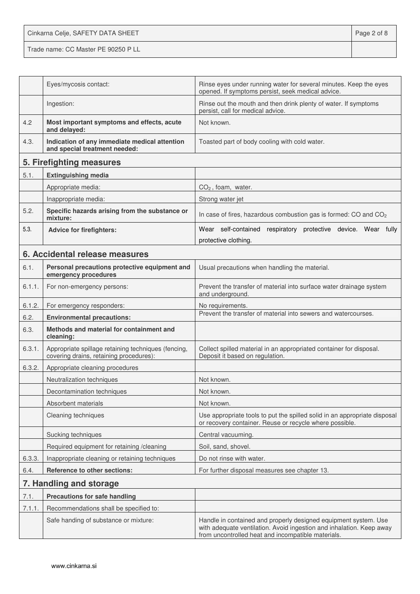Cinkarna Celje, SAFETY DATA SHEET **Page 2 of 8** Trade name: CC Master PE 90250 P LL

|        | Eyes/mycosis contact:                                                                          | Rinse eyes under running water for several minutes. Keep the eyes<br>opened. If symptoms persist, seek medical advice.                                                                        |  |
|--------|------------------------------------------------------------------------------------------------|-----------------------------------------------------------------------------------------------------------------------------------------------------------------------------------------------|--|
|        | Ingestion:                                                                                     | Rinse out the mouth and then drink plenty of water. If symptoms<br>persist, call for medical advice.                                                                                          |  |
| 4.2    | Most important symptoms and effects, acute<br>and delayed:                                     | Not known.                                                                                                                                                                                    |  |
| 4.3.   | Indication of any immediate medical attention<br>and special treatment needed:                 | Toasted part of body cooling with cold water.                                                                                                                                                 |  |
|        | 5. Firefighting measures                                                                       |                                                                                                                                                                                               |  |
| 5.1.   | <b>Extinguishing media</b>                                                                     |                                                                                                                                                                                               |  |
|        | Appropriate media:                                                                             | $CO2$ , foam, water.                                                                                                                                                                          |  |
|        | Inappropriate media:                                                                           | Strong water jet                                                                                                                                                                              |  |
| 5.2.   | Specific hazards arising from the substance or<br>mixture:                                     | In case of fires, hazardous combustion gas is formed: CO and CO <sub>2</sub>                                                                                                                  |  |
| 5.3.   | <b>Advice for firefighters:</b>                                                                | Wear self-contained respiratory protective device. Wear fully                                                                                                                                 |  |
|        |                                                                                                | protective clothing.                                                                                                                                                                          |  |
|        | 6. Accidental release measures                                                                 |                                                                                                                                                                                               |  |
| 6.1.   | Personal precautions protective equipment and<br>emergency procedures                          | Usual precautions when handling the material.                                                                                                                                                 |  |
| 6.1.1. | For non-emergency persons:                                                                     | Prevent the transfer of material into surface water drainage system<br>and underground.                                                                                                       |  |
| 6.1.2. | For emergency responders:                                                                      | No requirements.                                                                                                                                                                              |  |
| 6.2.   | <b>Environmental precautions:</b>                                                              | Prevent the transfer of material into sewers and watercourses.                                                                                                                                |  |
| 6.3.   | Methods and material for containment and<br>cleaning:                                          |                                                                                                                                                                                               |  |
| 6.3.1. | Appropriate spillage retaining techniques (fencing,<br>covering drains, retaining procedures): | Collect spilled material in an appropriated container for disposal.<br>Deposit it based on regulation.                                                                                        |  |
| 6.3.2. | Appropriate cleaning procedures                                                                |                                                                                                                                                                                               |  |
|        | Neutralization techniques                                                                      | Not known.                                                                                                                                                                                    |  |
|        | Decontamination techniques                                                                     | Not known.                                                                                                                                                                                    |  |
|        | Absorbent materials                                                                            | Not known.                                                                                                                                                                                    |  |
|        | Cleaning techniques                                                                            | Use appropriate tools to put the spilled solid in an appropriate disposal<br>or recovery container. Reuse or recycle where possible.                                                          |  |
|        | Sucking techniques                                                                             | Central vacuuming.                                                                                                                                                                            |  |
|        | Required equipment for retaining /cleaning                                                     | Soil, sand, shovel.                                                                                                                                                                           |  |
| 6.3.3. | Inappropriate cleaning or retaining techniques                                                 | Do not rinse with water.                                                                                                                                                                      |  |
| 6.4.   | <b>Reference to other sections:</b>                                                            | For further disposal measures see chapter 13.                                                                                                                                                 |  |
|        | 7. Handling and storage                                                                        |                                                                                                                                                                                               |  |
| 7.1.   | <b>Precautions for safe handling</b>                                                           |                                                                                                                                                                                               |  |
| 7.1.1. | Recommendations shall be specified to:                                                         |                                                                                                                                                                                               |  |
|        | Safe handing of substance or mixture:                                                          | Handle in contained and properly designed equipment system. Use<br>with adequate ventilation. Avoid ingestion and inhalation. Keep away<br>from uncontrolled heat and incompatible materials. |  |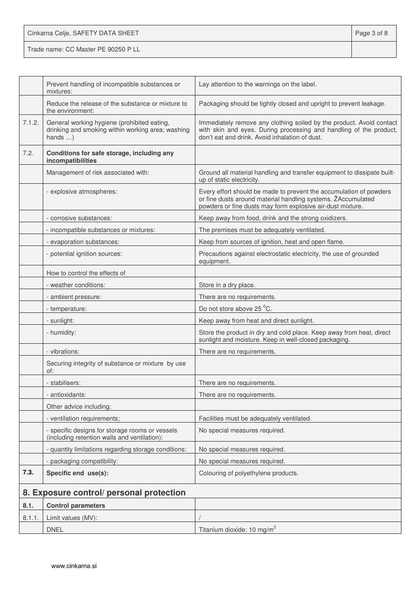| Cinkarna Celje, SAFETY DATA SHEET   | Page 3 of 8 |
|-------------------------------------|-------------|
| Trade name: CC Master PE 90250 P LL |             |

|        | Prevent handling of incompatible substances or<br>mixtures:                                                         | Lay attention to the warnings on the label.                                                                                                                                                      |
|--------|---------------------------------------------------------------------------------------------------------------------|--------------------------------------------------------------------------------------------------------------------------------------------------------------------------------------------------|
|        | Reduce the release of the substance or mixture to<br>the environment:                                               | Packaging should be tightly closed and upright to prevent leakage.                                                                                                                               |
| 7.1.2. | General working hygiene (prohibited eating,<br>drinking and smoking within working area; washing<br>hands $\dots$ ) | Immediately remove any clothing soiled by the product. Avoid contact<br>with skin and eyes. During processing and handling of the product,<br>don't eat and drink. Avoid inhalation of dust.     |
| 7.2.   | Conditions for safe storage, including any<br>incompatibilities                                                     |                                                                                                                                                                                                  |
|        | Management of risk associated with:                                                                                 | Ground all material handling and transfer equipment to dissipate built-<br>up of static electricity.                                                                                             |
|        | - explosive atmospheres:                                                                                            | Every effort should be made to prevent the accumulation of powders<br>or fine dusts around material handling systems. ŽAccumulated<br>powders or fine dusts may form explosive air-dust mixture. |
|        | - corrosive substances:                                                                                             | Keep away from food, drink and the strong oxidizers.                                                                                                                                             |
|        | - incompatible substances or mixtures:                                                                              | The premises must be adequately ventilated.                                                                                                                                                      |
|        | - evaporation substances:                                                                                           | Keep from sources of ignition, heat and open flame.                                                                                                                                              |
|        | - potential ignition sources:                                                                                       | Precautions against electrostatic electricity, the use of grounded<br>equipment.                                                                                                                 |
|        | How to control the effects of                                                                                       |                                                                                                                                                                                                  |
|        | - weather conditions:                                                                                               | Store in a dry place.                                                                                                                                                                            |
|        | - ambient pressure:                                                                                                 | There are no requirements.                                                                                                                                                                       |
|        | - temperature:                                                                                                      | Do not store above 25 °C.                                                                                                                                                                        |
|        | - sunlight:                                                                                                         | Keep away from heat and direct sunlight.                                                                                                                                                         |
|        | - humidity:                                                                                                         | Store the product in dry and cold place. Keep away from heat, direct<br>sunlight and moisture. Keep in well-closed packaging.                                                                    |
|        | - vibrations:                                                                                                       | There are no requirements.                                                                                                                                                                       |
|        | Securing integrity of substance or mixture by use<br>of:                                                            |                                                                                                                                                                                                  |
|        | - stabilisers:                                                                                                      | There are no requirements.                                                                                                                                                                       |
|        | - antioxidants:                                                                                                     | There are no requirements.                                                                                                                                                                       |
|        | Other advice including:                                                                                             |                                                                                                                                                                                                  |
|        | - ventilation requirements;                                                                                         | Facilities must be adequately ventilated.                                                                                                                                                        |
|        | - specific designs for storage rooms or vessels<br>(including retention walls and ventilation):                     | No special measures required.                                                                                                                                                                    |
|        | - quantity limitations regarding storage conditions:                                                                | No special measures required.                                                                                                                                                                    |
|        | - packaging compatibility:                                                                                          | No special measures required.                                                                                                                                                                    |
| 7.3.   | Specific end use(s):                                                                                                | Colouring of polyethylene products.                                                                                                                                                              |
|        | 8. Exposure control/ personal protection                                                                            |                                                                                                                                                                                                  |
| 8.1.   | <b>Control parameters</b>                                                                                           |                                                                                                                                                                                                  |
| 8.1.1. | Limit values (MV):                                                                                                  |                                                                                                                                                                                                  |
|        | <b>DNEL</b>                                                                                                         | Titanium dioxide: 10 mg/m <sup>3</sup>                                                                                                                                                           |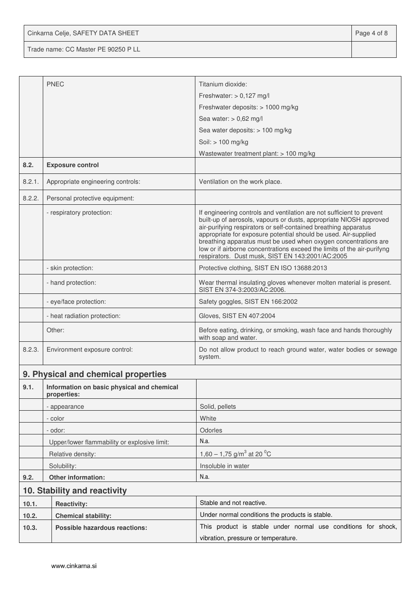Cinkarna Celje, SAFETY DATA SHEET **Page 4 of 8** 

Trade name: CC Master PE 90250 P LL

|        | <b>PNEC</b>                                               | Titanium dioxide:                                                                                                                                                                                                                                                                                                                                                                                                                                                                   |  |  |
|--------|-----------------------------------------------------------|-------------------------------------------------------------------------------------------------------------------------------------------------------------------------------------------------------------------------------------------------------------------------------------------------------------------------------------------------------------------------------------------------------------------------------------------------------------------------------------|--|--|
|        |                                                           | Freshwater: $> 0,127$ mg/l                                                                                                                                                                                                                                                                                                                                                                                                                                                          |  |  |
|        |                                                           | Freshwater deposits: > 1000 mg/kg                                                                                                                                                                                                                                                                                                                                                                                                                                                   |  |  |
|        |                                                           | Sea water: $> 0,62$ mg/l                                                                                                                                                                                                                                                                                                                                                                                                                                                            |  |  |
|        |                                                           | Sea water deposits: > 100 mg/kg                                                                                                                                                                                                                                                                                                                                                                                                                                                     |  |  |
|        |                                                           | Soil: > 100 mg/kg                                                                                                                                                                                                                                                                                                                                                                                                                                                                   |  |  |
|        |                                                           | Wastewater treatment plant: $> 100$ mg/kg                                                                                                                                                                                                                                                                                                                                                                                                                                           |  |  |
| 8.2.   | <b>Exposure control</b>                                   |                                                                                                                                                                                                                                                                                                                                                                                                                                                                                     |  |  |
| 8.2.1. | Appropriate engineering controls:                         | Ventilation on the work place.                                                                                                                                                                                                                                                                                                                                                                                                                                                      |  |  |
| 8.2.2. | Personal protective equipment:                            |                                                                                                                                                                                                                                                                                                                                                                                                                                                                                     |  |  |
|        | - respiratory protection:                                 | If engineering controls and ventilation are not sufficient to prevent<br>built-up of aerosols, vapours or dusts, appropriate NIOSH approved<br>air-purifying respirators or self-contained breathing apparatus<br>appropriate for exposure potential should be used. Air-supplied<br>breathing apparatus must be used when oxygen concentrations are<br>low or if airborne concentrations exceed the limits of the air-purifyng<br>respirators. Dust musk, SIST EN 143:2001/AC:2005 |  |  |
|        | - skin protection:                                        | Protective clothing, SIST EN ISO 13688:2013                                                                                                                                                                                                                                                                                                                                                                                                                                         |  |  |
|        | - hand protection:                                        | Wear thermal insulating gloves whenever molten material is present.<br>SIST EN 374-3:2003/AC:2006.                                                                                                                                                                                                                                                                                                                                                                                  |  |  |
|        | - eye/face protection:                                    | Safety goggles, SIST EN 166:2002                                                                                                                                                                                                                                                                                                                                                                                                                                                    |  |  |
|        | - heat radiation protection:                              | Gloves, SIST EN 407:2004                                                                                                                                                                                                                                                                                                                                                                                                                                                            |  |  |
|        | Other:                                                    | Before eating, drinking, or smoking, wash face and hands thoroughly<br>with soap and water.                                                                                                                                                                                                                                                                                                                                                                                         |  |  |
| 8.2.3. | Environment exposure control:                             | Do not allow product to reach ground water, water bodies or sewage<br>system.                                                                                                                                                                                                                                                                                                                                                                                                       |  |  |
|        | 9. Physical and chemical properties                       |                                                                                                                                                                                                                                                                                                                                                                                                                                                                                     |  |  |
| 9.1.   | Information on basic physical and chemical<br>properties: |                                                                                                                                                                                                                                                                                                                                                                                                                                                                                     |  |  |
|        | - appearance                                              | Solid, pellets                                                                                                                                                                                                                                                                                                                                                                                                                                                                      |  |  |
|        | - color                                                   | White                                                                                                                                                                                                                                                                                                                                                                                                                                                                               |  |  |
|        | - odor:                                                   | Odorles                                                                                                                                                                                                                                                                                                                                                                                                                                                                             |  |  |
|        | Upper/lower flammability or explosive limit:              | N.a.                                                                                                                                                                                                                                                                                                                                                                                                                                                                                |  |  |
|        | Relative density:                                         | 1,60 – 1,75 g/m <sup>3</sup> at 20 <sup>o</sup> C                                                                                                                                                                                                                                                                                                                                                                                                                                   |  |  |
|        | Solubility:                                               | Insoluble in water                                                                                                                                                                                                                                                                                                                                                                                                                                                                  |  |  |
| 9.2.   | Other information:                                        | N.a.                                                                                                                                                                                                                                                                                                                                                                                                                                                                                |  |  |
|        | 10. Stability and reactivity                              |                                                                                                                                                                                                                                                                                                                                                                                                                                                                                     |  |  |
| 10.1.  | <b>Reactivity:</b>                                        | Stable and not reactive.                                                                                                                                                                                                                                                                                                                                                                                                                                                            |  |  |
| 10.2.  | <b>Chemical stability:</b>                                | Under normal conditions the products is stable.                                                                                                                                                                                                                                                                                                                                                                                                                                     |  |  |
| 10.3.  | Possible hazardous reactions:                             | This product is stable under normal use conditions for shock,                                                                                                                                                                                                                                                                                                                                                                                                                       |  |  |
|        |                                                           | vibration, pressure or temperature.                                                                                                                                                                                                                                                                                                                                                                                                                                                 |  |  |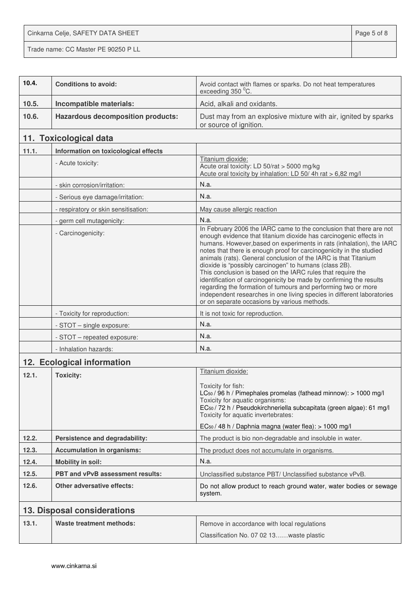Cinkarna Celje, SAFETY DATA SHEET **Page 5 of 8** Trade name: CC Master PE 90250 P LL

| 10.4. | <b>Conditions to avoid:</b>              | Avoid contact with flames or sparks. Do not heat temperatures<br>exceeding 350 °C.                                                                                                                                                                                                                                                                                                                                                                                                                                                                                                                                                                                                                                                                    |  |
|-------|------------------------------------------|-------------------------------------------------------------------------------------------------------------------------------------------------------------------------------------------------------------------------------------------------------------------------------------------------------------------------------------------------------------------------------------------------------------------------------------------------------------------------------------------------------------------------------------------------------------------------------------------------------------------------------------------------------------------------------------------------------------------------------------------------------|--|
| 10.5. | Incompatible materials:                  | Acid, alkali and oxidants.                                                                                                                                                                                                                                                                                                                                                                                                                                                                                                                                                                                                                                                                                                                            |  |
| 10.6. | <b>Hazardous decomposition products:</b> | Dust may from an explosive mixture with air, ignited by sparks<br>or source of ignition.                                                                                                                                                                                                                                                                                                                                                                                                                                                                                                                                                                                                                                                              |  |
|       | 11. Toxicological data                   |                                                                                                                                                                                                                                                                                                                                                                                                                                                                                                                                                                                                                                                                                                                                                       |  |
| 11.1. | Information on toxicological effects     |                                                                                                                                                                                                                                                                                                                                                                                                                                                                                                                                                                                                                                                                                                                                                       |  |
|       | - Acute toxicity:                        | Titanium dioxide:<br>Acute oral toxicity: LD 50/rat > 5000 mg/kg<br>Acute oral toxicity by inhalation: LD 50/4h rat > 6,82 mg/l                                                                                                                                                                                                                                                                                                                                                                                                                                                                                                                                                                                                                       |  |
|       | - skin corrosion/irritation:             | N.a.                                                                                                                                                                                                                                                                                                                                                                                                                                                                                                                                                                                                                                                                                                                                                  |  |
|       | - Serious eye damage/irritation:         | N.a.                                                                                                                                                                                                                                                                                                                                                                                                                                                                                                                                                                                                                                                                                                                                                  |  |
|       | - respiratory or skin sensitisation:     | May cause allergic reaction                                                                                                                                                                                                                                                                                                                                                                                                                                                                                                                                                                                                                                                                                                                           |  |
|       | - germ cell mutagenicity:                | N.a.                                                                                                                                                                                                                                                                                                                                                                                                                                                                                                                                                                                                                                                                                                                                                  |  |
|       | - Carcinogenicity:                       | In February 2006 the IARC came to the conclusion that there are not<br>enough evidence that titanium dioxide has carcinogenic effects in<br>humans. However, based on experiments in rats (inhalation), the IARC<br>notes that there is enough proof for carcinogenicity in the studied<br>animals (rats). General conclusion of the IARC is that Titanium<br>dioxide is "possibly carcinogen" to humans (class 2B).<br>This conclusion is based on the IARC rules that require the<br>identification of carcinogenicity be made by confirming the results<br>regarding the formation of tumours and performing two or more<br>independent researches in one living species in different laboratories<br>or on separate occasions by various methods. |  |
|       | - Toxicity for reproduction:             | It is not toxic for reproduction.                                                                                                                                                                                                                                                                                                                                                                                                                                                                                                                                                                                                                                                                                                                     |  |
|       | - STOT - single exposure:                | N.a.                                                                                                                                                                                                                                                                                                                                                                                                                                                                                                                                                                                                                                                                                                                                                  |  |
|       | - STOT - repeated exposure:              | N.a.                                                                                                                                                                                                                                                                                                                                                                                                                                                                                                                                                                                                                                                                                                                                                  |  |
|       | - Inhalation hazards:                    | N.a.                                                                                                                                                                                                                                                                                                                                                                                                                                                                                                                                                                                                                                                                                                                                                  |  |
|       | 12. Ecological information               |                                                                                                                                                                                                                                                                                                                                                                                                                                                                                                                                                                                                                                                                                                                                                       |  |
| 12.1. | <b>Toxicity:</b>                         | Titanium dioxide:<br>Toxicity for fish:<br>LC <sub>50</sub> / 96 h / Pimephales promelas (fathead minnow): > 1000 mg/l<br>Toxicity for aquatic organisms:<br>EC <sub>50</sub> / 72 h / Pseudokirchneriella subcapitata (green algae): 61 mg/l<br>Toxicity for aquatic invertebrates:<br>EC <sub>50</sub> / 48 h / Daphnia magna (water flea): > 1000 mg/l                                                                                                                                                                                                                                                                                                                                                                                             |  |
| 12.2. | Persistence and degradability:           | The product is bio non-degradable and insoluble in water.                                                                                                                                                                                                                                                                                                                                                                                                                                                                                                                                                                                                                                                                                             |  |
| 12.3. | <b>Accumulation in organisms:</b>        | The product does not accumulate in organisms.                                                                                                                                                                                                                                                                                                                                                                                                                                                                                                                                                                                                                                                                                                         |  |
| 12.4. | <b>Mobility in soil:</b>                 | N.a.                                                                                                                                                                                                                                                                                                                                                                                                                                                                                                                                                                                                                                                                                                                                                  |  |
| 12.5. | PBT and vPvB assessment results:         | Unclassified substance PBT/ Unclassified substance vPvB.                                                                                                                                                                                                                                                                                                                                                                                                                                                                                                                                                                                                                                                                                              |  |
| 12.6. | <b>Other adversative effects:</b>        | Do not allow product to reach ground water, water bodies or sewage<br>system.                                                                                                                                                                                                                                                                                                                                                                                                                                                                                                                                                                                                                                                                         |  |
|       | 13. Disposal considerations              |                                                                                                                                                                                                                                                                                                                                                                                                                                                                                                                                                                                                                                                                                                                                                       |  |
| 13.1. | <b>Waste treatment methods:</b>          | Remove in accordance with local regulations<br>Classification No. 07 02 13waste plastic                                                                                                                                                                                                                                                                                                                                                                                                                                                                                                                                                                                                                                                               |  |
|       |                                          |                                                                                                                                                                                                                                                                                                                                                                                                                                                                                                                                                                                                                                                                                                                                                       |  |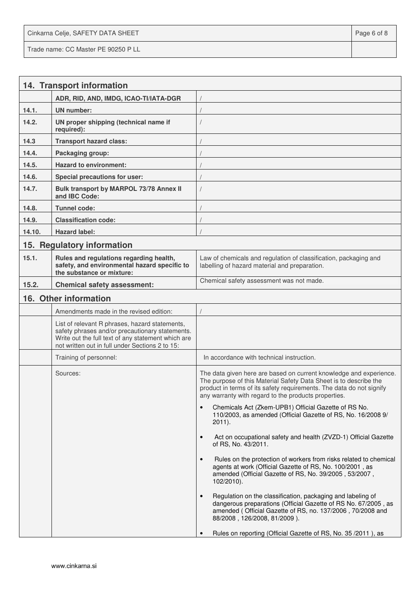Cinkarna Celje, SAFETY DATA SHEET **Page 6 of 8** and 2011 12 and 2012 12 and 2012 12 and 2012 12 and 2012 12 and 201 Trade name: CC Master PE 90250 P LL

|        | 14. Transport information                                                                                                                                                                                  |                                                                                                                                                                                                                                                                         |
|--------|------------------------------------------------------------------------------------------------------------------------------------------------------------------------------------------------------------|-------------------------------------------------------------------------------------------------------------------------------------------------------------------------------------------------------------------------------------------------------------------------|
|        | ADR, RID, AND, IMDG, ICAO-TI/IATA-DGR                                                                                                                                                                      |                                                                                                                                                                                                                                                                         |
| 14.1.  | <b>UN</b> number:                                                                                                                                                                                          |                                                                                                                                                                                                                                                                         |
| 14.2.  | UN proper shipping (technical name if<br>required):                                                                                                                                                        |                                                                                                                                                                                                                                                                         |
| 14.3   | <b>Transport hazard class:</b>                                                                                                                                                                             |                                                                                                                                                                                                                                                                         |
| 14.4.  | Packaging group:                                                                                                                                                                                           |                                                                                                                                                                                                                                                                         |
| 14.5.  | <b>Hazard to environment:</b>                                                                                                                                                                              |                                                                                                                                                                                                                                                                         |
| 14.6.  | Special precautions for user:                                                                                                                                                                              |                                                                                                                                                                                                                                                                         |
| 14.7.  | Bulk transport by MARPOL 73/78 Annex II<br>and IBC Code:                                                                                                                                                   |                                                                                                                                                                                                                                                                         |
| 14.8.  | <b>Tunnel code:</b>                                                                                                                                                                                        |                                                                                                                                                                                                                                                                         |
| 14.9.  | <b>Classification code:</b>                                                                                                                                                                                |                                                                                                                                                                                                                                                                         |
| 14.10. | <b>Hazard label:</b>                                                                                                                                                                                       |                                                                                                                                                                                                                                                                         |
|        | 15. Regulatory information                                                                                                                                                                                 |                                                                                                                                                                                                                                                                         |
| 15.1.  | Rules and regulations regarding health,<br>safety, and environmental hazard specific to<br>the substance or mixture:                                                                                       | Law of chemicals and regulation of classification, packaging and<br>labelling of hazard material and preparation.                                                                                                                                                       |
| 15.2.  | <b>Chemical safety assessment:</b>                                                                                                                                                                         | Chemical safety assessment was not made.                                                                                                                                                                                                                                |
|        | 16. Other information                                                                                                                                                                                      |                                                                                                                                                                                                                                                                         |
|        | Amendments made in the revised edition:                                                                                                                                                                    |                                                                                                                                                                                                                                                                         |
|        | List of relevant R phrases, hazard statements,<br>safety phrases and/or precautionary statements.<br>Write out the full text of any statement which are<br>not written out in full under Sections 2 to 15: |                                                                                                                                                                                                                                                                         |
|        | Training of personnel:                                                                                                                                                                                     | In accordance with technical instruction.                                                                                                                                                                                                                               |
|        | Sources:                                                                                                                                                                                                   | The data given here are based on current knowledge and experience.<br>The purpose of this Material Safety Data Sheet is to describe the<br>product in terms of its safety requirements. The data do not signify<br>any warranty with regard to the products properties. |
|        |                                                                                                                                                                                                            | Chemicals Act (Zkem-UPB1) Official Gazette of RS No.<br>110/2003, as amended (Official Gazette of RS, No. 16/2008 9/<br>$2011$ ).                                                                                                                                       |
|        |                                                                                                                                                                                                            | Act on occupational safety and health (ZVZD-1) Official Gazette<br>$\bullet$<br>of RS, No. 43/2011.                                                                                                                                                                     |
|        |                                                                                                                                                                                                            | Rules on the protection of workers from risks related to chemical<br>$\bullet$<br>agents at work (Official Gazette of RS, No. 100/2001, as<br>amended (Official Gazette of RS, No. 39/2005, 53/2007,<br>102/2010).                                                      |
|        |                                                                                                                                                                                                            | Regulation on the classification, packaging and labeling of<br>$\bullet$<br>dangerous preparations (Official Gazette of RS No. 67/2005, as<br>amended (Official Gazette of RS, no. 137/2006, 70/2008 and<br>88/2008, 126/2008, 81/2009).                                |
|        |                                                                                                                                                                                                            | Rules on reporting (Official Gazette of RS, No. 35/2011), as                                                                                                                                                                                                            |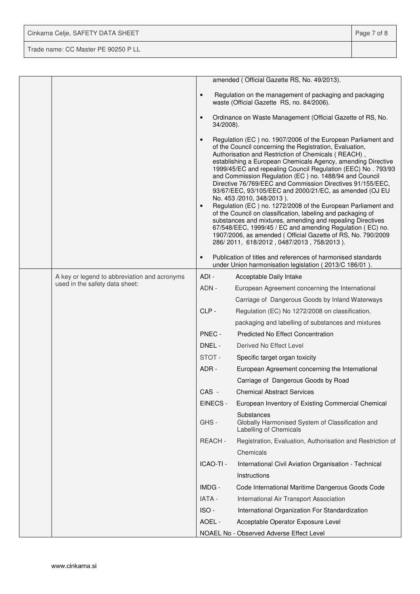| Cinkarna Celje, SAFETY DATA SHEET   | Page 7 of 8 |
|-------------------------------------|-------------|
| Trade name: CC Master PE 90250 P LL |             |

|                                              |                        | amended (Official Gazette RS, No. 49/2013).                                                                                                                                                                                                                                                                                                                                                                                                                                                                                                                                                                                                                                                                                                                                                                                                                                                          |
|----------------------------------------------|------------------------|------------------------------------------------------------------------------------------------------------------------------------------------------------------------------------------------------------------------------------------------------------------------------------------------------------------------------------------------------------------------------------------------------------------------------------------------------------------------------------------------------------------------------------------------------------------------------------------------------------------------------------------------------------------------------------------------------------------------------------------------------------------------------------------------------------------------------------------------------------------------------------------------------|
|                                              | $\bullet$              | Regulation on the management of packaging and packaging<br>waste (Official Gazette RS, no. 84/2006).                                                                                                                                                                                                                                                                                                                                                                                                                                                                                                                                                                                                                                                                                                                                                                                                 |
|                                              | $\bullet$<br>34/2008). | Ordinance on Waste Management (Official Gazette of RS, No.                                                                                                                                                                                                                                                                                                                                                                                                                                                                                                                                                                                                                                                                                                                                                                                                                                           |
|                                              | $\bullet$<br>$\bullet$ | Regulation (EC) no. 1907/2006 of the European Parliament and<br>of the Council concerning the Registration, Evaluation,<br>Authorisation and Restriction of Chemicals (REACH),<br>establishing a European Chemicals Agency, amending Directive<br>1999/45/EC and repealing Council Regulation (EEC) No. 793/93<br>and Commission Regulation (EC) no. 1488/94 and Council<br>Directive 76/769/EEC and Commission Directives 91/155/EEC,<br>93/67/EEC, 93/105/EEC and 2000/21/EC, as amended (OJ EU<br>No. 453 /2010, 348/2013).<br>Regulation (EC) no. 1272/2008 of the European Parliament and<br>of the Council on classification, labeling and packaging of<br>substances and mixtures, amending and repealing Directives<br>67/548/EEC, 1999/45 / EC and amending Regulation (EC) no.<br>1907/2006, as amended (Official Gazette of RS, No. 790/2009<br>286/2011, 618/2012, 0487/2013, 758/2013). |
|                                              | $\bullet$              | Publication of titles and references of harmonised standards<br>under Union harmonisation legislation (2013/C 186/01).                                                                                                                                                                                                                                                                                                                                                                                                                                                                                                                                                                                                                                                                                                                                                                               |
| A key or legend to abbreviation and acronyms | ADI -                  | Acceptable Daily Intake                                                                                                                                                                                                                                                                                                                                                                                                                                                                                                                                                                                                                                                                                                                                                                                                                                                                              |
| used in the safety data sheet:               | ADN -                  | European Agreement concerning the International                                                                                                                                                                                                                                                                                                                                                                                                                                                                                                                                                                                                                                                                                                                                                                                                                                                      |
|                                              |                        | Carriage of Dangerous Goods by Inland Waterways                                                                                                                                                                                                                                                                                                                                                                                                                                                                                                                                                                                                                                                                                                                                                                                                                                                      |
|                                              | CLP-                   | Regulation (EC) No 1272/2008 on classification,                                                                                                                                                                                                                                                                                                                                                                                                                                                                                                                                                                                                                                                                                                                                                                                                                                                      |
|                                              |                        | packaging and labelling of substances and mixtures                                                                                                                                                                                                                                                                                                                                                                                                                                                                                                                                                                                                                                                                                                                                                                                                                                                   |
|                                              | PNEC -                 | <b>Predicted No Effect Concentration</b>                                                                                                                                                                                                                                                                                                                                                                                                                                                                                                                                                                                                                                                                                                                                                                                                                                                             |
|                                              | DNEL -                 | Derived No Effect Level                                                                                                                                                                                                                                                                                                                                                                                                                                                                                                                                                                                                                                                                                                                                                                                                                                                                              |
|                                              | STOT-                  | Specific target organ toxicity                                                                                                                                                                                                                                                                                                                                                                                                                                                                                                                                                                                                                                                                                                                                                                                                                                                                       |
|                                              | ADR-                   | European Agreement concerning the International                                                                                                                                                                                                                                                                                                                                                                                                                                                                                                                                                                                                                                                                                                                                                                                                                                                      |
|                                              |                        | Carriage of Dangerous Goods by Road                                                                                                                                                                                                                                                                                                                                                                                                                                                                                                                                                                                                                                                                                                                                                                                                                                                                  |
|                                              | CAS -                  | <b>Chemical Abstract Services</b>                                                                                                                                                                                                                                                                                                                                                                                                                                                                                                                                                                                                                                                                                                                                                                                                                                                                    |
|                                              | EINECS -               | European Inventory of Existing Commercial Chemical                                                                                                                                                                                                                                                                                                                                                                                                                                                                                                                                                                                                                                                                                                                                                                                                                                                   |
|                                              | GHS-                   | Substances<br>Globally Harmonised System of Classification and<br>Labelling of Chemicals                                                                                                                                                                                                                                                                                                                                                                                                                                                                                                                                                                                                                                                                                                                                                                                                             |
|                                              | REACH-                 | Registration, Evaluation, Authorisation and Restriction of                                                                                                                                                                                                                                                                                                                                                                                                                                                                                                                                                                                                                                                                                                                                                                                                                                           |
|                                              |                        | Chemicals                                                                                                                                                                                                                                                                                                                                                                                                                                                                                                                                                                                                                                                                                                                                                                                                                                                                                            |
|                                              | ICAO-TI -              | International Civil Aviation Organisation - Technical                                                                                                                                                                                                                                                                                                                                                                                                                                                                                                                                                                                                                                                                                                                                                                                                                                                |
|                                              |                        | Instructions                                                                                                                                                                                                                                                                                                                                                                                                                                                                                                                                                                                                                                                                                                                                                                                                                                                                                         |
|                                              | IMDG -                 | Code International Maritime Dangerous Goods Code                                                                                                                                                                                                                                                                                                                                                                                                                                                                                                                                                                                                                                                                                                                                                                                                                                                     |
|                                              | <b>IATA -</b>          | International Air Transport Association                                                                                                                                                                                                                                                                                                                                                                                                                                                                                                                                                                                                                                                                                                                                                                                                                                                              |
|                                              | ISO-                   | International Organization For Standardization                                                                                                                                                                                                                                                                                                                                                                                                                                                                                                                                                                                                                                                                                                                                                                                                                                                       |
|                                              | AOEL -                 | Acceptable Operator Exposure Level                                                                                                                                                                                                                                                                                                                                                                                                                                                                                                                                                                                                                                                                                                                                                                                                                                                                   |
|                                              |                        | NOAEL No - Observed Adverse Effect Level                                                                                                                                                                                                                                                                                                                                                                                                                                                                                                                                                                                                                                                                                                                                                                                                                                                             |